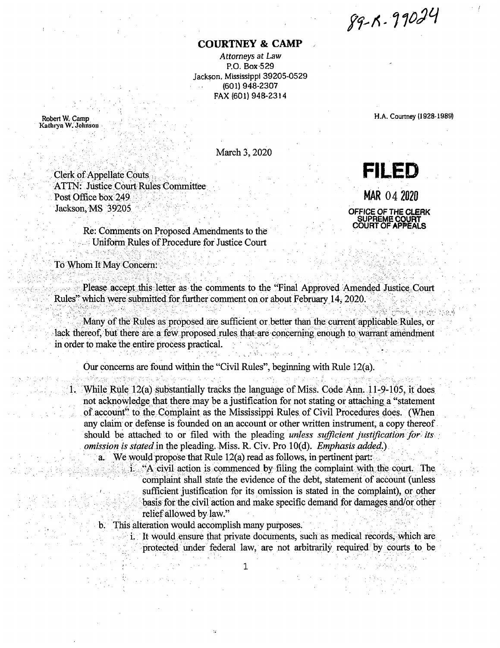89-R-99024

## **COURTNEY & CAMP**

Attorneys at Law P.O. Box 529 Jackson, Mississippi 39205-0529 (601) 948-2307 FAX (601) 948-2314

Robert W. Camp Kathryn W. Johnson H.A. Courtney (1928-1989)

તીકે, પિંકને તેને ગામને

March 3, 2020

**Clerk of Appellate Couts ATTN: Justice Court Rules Committee** Post Office box 249 Jackson, MS 39205

sistemente (1944) sistematica de la caracterí

**FILED** MAR 04 2020

## OFFICE OF THE CLERK SUPREME C COURT OF APPEALS

Re: Comments on Proposed Amendments to the **Example 1** Uniform Rules of Procedure for Justice Court

To Whom It May Concern:

Please accept this letter as the comments to the "Final Approved Amended Justice Court Rules" which were submitted for further comment on or about February 14, 2020.

Many of the Rules as proposed are sufficient or better than the current applicable Rules, or lack thereof, but there are a few proposed rules that are concerning enough to warrant amendment in order to make the entire process practical.

Our concerns are found within the "Civil Rules", beginning with Rule 12(a).

1. While Rule 12(a) substantially tracks the language of Miss. Code Ann. 11-9-105, it does not acknowledge that there may be a justification for not stating or attaching a "statement" of account" to the Complaint as the Mississippi Rules of Civil Procedures does. (When any claim or defense is founded on an account or other written instrument, a copy thereof should be attached to or filed with the pleading unless sufficient justification for its omission is stated in the pleading. Miss. R. Civ. Pro 10(d). Emphasis added.)

a. We would propose that Rule 12(a) read as follows, in pertinent part:

i. "A civil action is commenced by filing the complaint with the court. The complaint shall state the evidence of the debt, statement of account (unless sufficient justification for its omission is stated in the complaint), or other basis for the civil action and make specific demand for damages and/or other relief allowed by law."

in the state of the state of the

b. This alteration would accomplish many purposes.

i. It would ensure that private documents, such as medical records, which are protected under federal law, are not arbitrarily required by courts to be

 $\mathbf 1$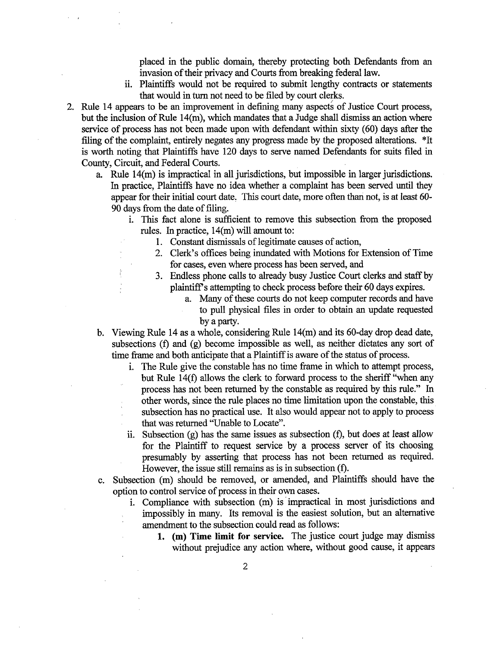placed in the public domain, thereby protecting both Defendants from an invasion of their privacy and Courts from breaking federal law.

- ii. Plaintiffs would not be required to submit lengthy contracts or statements that would in turn not need to be filed by court clerks.
- 2. Rule 14 appears to be an improvement in defining many aspects of Justice Court process, but the inclusion of Rule 14(m), which mandates that a Judge shall dismiss an action where service of process has not been made upon with defendant within sixty (60) days after the filing of the complaint, entirely negates any progress made by the proposed alterations. \*It is worth noting that Plaintiffs have 120 days to serve named Defendants for suits filed in County, Circuit, and Federal Courts.
	- a. Rule 14(m) is impractical in all jurisdictions, but impossible in larger jurisdictions. In practice, Plaintiffs have no idea whether a complaint has been served until they appear for their initial court date. This court date, more often than not, is at least 60-90 days from the date of filing.
		- i. This fact alone is sufficient to remove this subsection from the proposed rules. In practice, 14(m) will amount to:
			- 1. Constant dismissals of legitimate causes of action,
			- 2. Clerk's offices being inundated with Motions for Extension of Time for cases, even where process has been served, and
			- 3. Endless phone calls to already busy Justice Court clerks and staff by plaintiffs attempting to check process before their 60 days expires.
				- a. Many of these courts do not keep computer records and have to pull physical files in order to obtain an update requested by a party.
	- b. Viewing Rule 14 as a whole, considering Rule 14(m) and its 60-day drop dead date, subsections (f) and (g) become impossible as well, as neither dictates any sort of time frame and both anticipate that a Plaintiff is aware of the status of process.
		- i. The Rule give the constable has no time frame in which to attempt process, but Rule 14(f) allows the clerk to forward process to the sheriff "when any process has not been returned by the constable as required by this rule." In other words, since the rule places no time limitation upon the constable, this subsection has no practical use. It also would appear not to apply to process that was returned "Unable to Locate".
		- ii. Subsection (g) has the same issues as subsection (f), but does at least allow for the Plaintiff to request service by a process server of its choosing presumably by asserting that process has not been returned as required. However, the issue still remains as is in subsection (f).
	- c. Subsection (m) should be removed, or amended, and Plaintiffs should have the option to control service of process in their own cases.
		- i. Compliance with subsection (m) is impractical in most jurisdictions and impossibly in many. Its removal is the easiest solution, but an alternative amendment to the subsection could read as follows:
			- **1. (m) Time limit for service.** The justice court judge may dismiss without prejudice any action where, without good cause, it appears